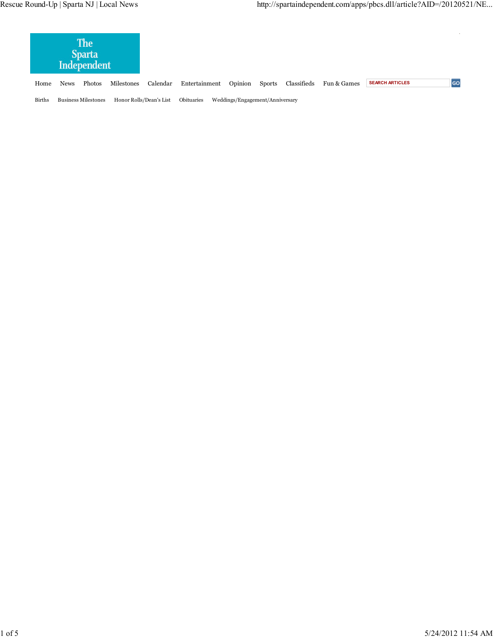| <b>The</b><br><b>Sparta</b><br>Independent  |             |        |            |                         |               |                                 |        |             |             |                        |           |
|---------------------------------------------|-------------|--------|------------|-------------------------|---------------|---------------------------------|--------|-------------|-------------|------------------------|-----------|
| Home                                        | <b>News</b> | Photos | Milestones | Calendar                | Entertainment | Opinion                         | Sports | Classifieds | Fun & Games | <b>SEARCH ARTICLES</b> | <b>GC</b> |
| <b>Births</b><br><b>Business Milestones</b> |             |        |            | Honor Rolls/Dean's List | Obituaries    | Weddings/Engagement/Anniversary |        |             |             |                        |           |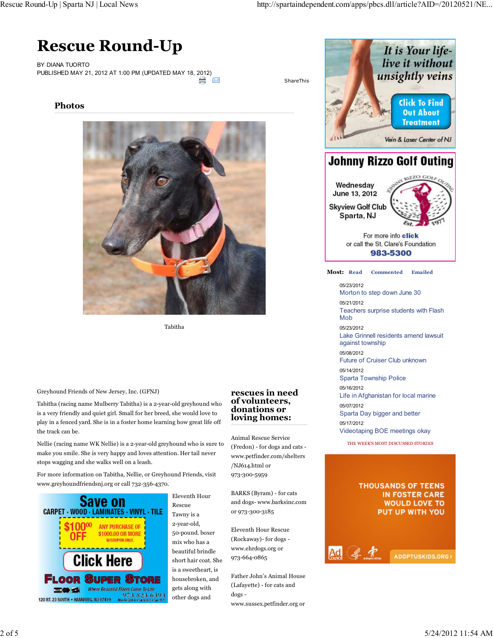# **Rescue Round-Up**

BY DIANA TUORTO PUBLISHED MAY 21, 2012 AT 1:00 PM (UPDATED MAY 18, 2012)



ShareThis

**Photos**



Tabitha

Greyhound Friends of New Jersey, Inc. (GFNJ)

Tabitha (racing name Mulberry Tabitha) is a 2-year-old greyhound who is a very friendly and quiet girl. Small for her breed, she would love to play in a fenced yard. She is in a foster home learning how great life off the track can be.

Nellie (racing name WK Nellie) is a 2-year-old greyhound who is sure to make you smile. She is very happy and loves attention. Her tail never stops wagging and she walks well on a leash.

For more information on Tabitha, Nellie, or Greyhound Friends, visit www.greyhoundfriendsnj.org or call 732-356-4370.



Eleventh Hour Rescue Tawny is a 2-year-old, 50-pound. boxer mix who has a beautiful brindle short hair coat. She is a sweetheart, is housebroken, and gets along with other dogs and

#### **rescues in need of volunteers, donations or loving homes:**

Animal Rescue Service (Fredon) - for dogs and cats www.petfinder.com/shelters /NJ614.html or 973-300-5959

BARKS (Byram) - for cats and dogs- www.barksinc.com or 973-300-3185

Eleventh Hour Rescue (Rockaway)- for dogs www.ehrdogs.org or 973-664-0865

Father John's Animal House (Lafayette) - for cats and dogs -

www.sussex.petfinder.org or



05/23/2012 Morton to step down June 30 05/21/2012 Teachers surprise students with Flash Mob 05/23/2012 Lake Grinnell residents amend lawsuit against township 05/08/2012 Future of Cruiser Club unknown 05/14/2012 Sparta Township Police 05/16/2012 Life in Afghanistan for local marine 05/07/2012 Sparta Day bigger and better 05/17/2012 Videotaping BOE meetings okay

THE WEEK'S MOST DISCUSSED STORIES

#### **THOUSANDS OF TEENS IN FOSTER CARE WOULD LOVE TO** PUT UP WITH YOU

 $K$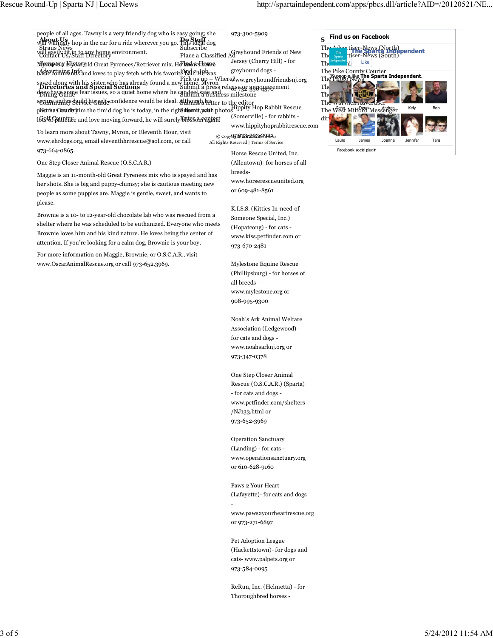Like

Facebook social plugin

Laura James Joanne Jennifer Tara

973-300-5909 Place a Classified Ad<sup>reyhound</sup> Friends of New Jersey (Cherry Hill) - for greyhound dogs www.greyhoundfriendsnj.org saved along with his sister who has already found a new home. Myron the www.greynound<br>Directories and Special Sections<br>does have come for issues. scoms nundity suil delight ficonfidence would be ideal. Although hetter to the editor<br>Phitpha Chroduckim the timid dea he is today, in the richt blow it with photo Hippity Hop Rabbit Rescue (Somerville) - for rabbits www.hippityhoprabbitrescue.com © Copy**HEI<del>O</del>Z3r293a**-29<del>22</del>/s people of all ages. Tawny is a very friendly dog who is easy going; she will withingly hop in the car for a ride wherever you go. **Postuff** dog will easily fit in to any home environment. Contact Us/Staff Directory Moropany Historyold Great Pyrenees/Retriever mix. He knows some basic commands and loves to play fetch with his favorite ball<sup>a</sup> He was **Directories and Special Sections**<br>dees have some fear issues, so a quiet home where he can feel safe and plastrises Comaderia im the timid dog he is today, in the right informit, wouth 16f9<sup>1</sup>\$Counthile and love moving forward, he will surely bibissom agtent To learn more about Tawny, Myron, or Eleventh Hour, visit www.ehrdogs.org, email eleventhhrrescue@aol.com, or call Straus News Dining Guide Community Service Guide dektrise Comarlery **Do Stuff** Subscribe Pick us up – Where? Submit a press release or announcement Submit a business milestone SUBMER Petter to the editor **Sublonnit, youth** photos  $\mathbf{s}$  Find us on Facebook The Advertiser-News (North) **The Advertiser-News (South)**<br>The Sparta Tiser-News (South) The Chronicle The Pike County Courier The Photo News 39 people like **The Sparta Independent**. The Space of Space of Space of Space of Space of Space of Space of Space of Space of Space of Space of Space o The Township Julian Julian The warwick *Havertiser* The West Milford Messenger Kelly Bob di All Rights Reserved | Terms of Service

One Step Closer Animal Rescue (O.S.C.A.R.)

973-664-0865.

Maggie is an 11-month-old Great Pyrenees mix who is spayed and has her shots. She is big and puppy-clumsy; she is cautious meeting new people as some puppies are. Maggie is gentle, sweet, and wants to please.

Brownie is a 10- to 12-year-old chocolate lab who was rescued from a shelter where he was scheduled to be euthanized. Everyone who meets Brownie loves him and his kind nature. He loves being the center of attention. If you're looking for a calm dog, Brownie is your boy.

For more information on Maggie, Brownie, or O.S.C.A.R., visit www.OscarAnimalRescue.org or call 973-652.3969.

Horse Rescue United, Inc. (Allentown)- for horses of all breedswww.horserescueunited.org or 609-481-8561

K.I.S.S. (Kitties In-need-of Someone Special, Inc.) (Hopatcong) - for cats www.kiss.petfinder.com or 973-670-2481

Mylestone Equine Rescue (Phillipsburg) - for horses of all breeds www.mylestone.org or 908-995-9300

Noah's Ark Animal Welfare Association (Ledgewood) for cats and dogs www.noahsarknj.org or 973-347-0378

One Step Closer Animal Rescue (O.S.C.A.R.) (Sparta) - for cats and dogs www.petfinder.com/shelters /NJ133.html or 973-652-3969

Operation Sanctuary (Landing) - for cats www.operationsanctuary.org or 610-628-9160

Paws 2 Your Heart (Lafayette)- for cats and dogs

-

www.paws2yourheartrescue.org or 973-271-6897

Pet Adoption League (Hackettstown)- for dogs and cats- www.palpets.org or 973-584-0095

ReRun, Inc. (Helmetta) - for Thoroughbred horses -

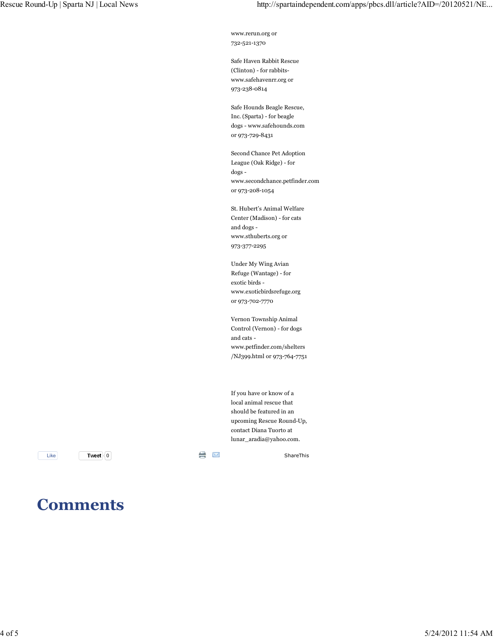www.rerun.org or 732-521-1370

Safe Haven Rabbit Rescue (Clinton) - for rabbitswww.safehavenrr.org or 973-238-0814

Safe Hounds Beagle Rescue, Inc. (Sparta) - for beagle dogs - www.safehounds.com or 973-729-8431

Second Chance Pet Adoption League (Oak Ridge) - for dogs www.secondchance.petfinder.com or 973-208-1054

St. Hubert's Animal Welfare Center (Madison) - for cats and dogs www.sthuberts.org or 973-377-2295

Under My Wing Avian Refuge (Wantage) - for exotic birds www.exoticbirdsrefuge.org or 973-702-7770

Vernon Township Animal Control (Vernon) - for dogs and cats www.petfinder.com/shelters /NJ399.html or 973-764-7751

If you have or know of a local animal rescue that should be featured in an upcoming Rescue Round-Up, contact Diana Tuorto at lunar\_aradia@yahoo.com.

**Tweet** 0 **Manufacturer** 1

Like ShareThis ShareThis

## **Comments**